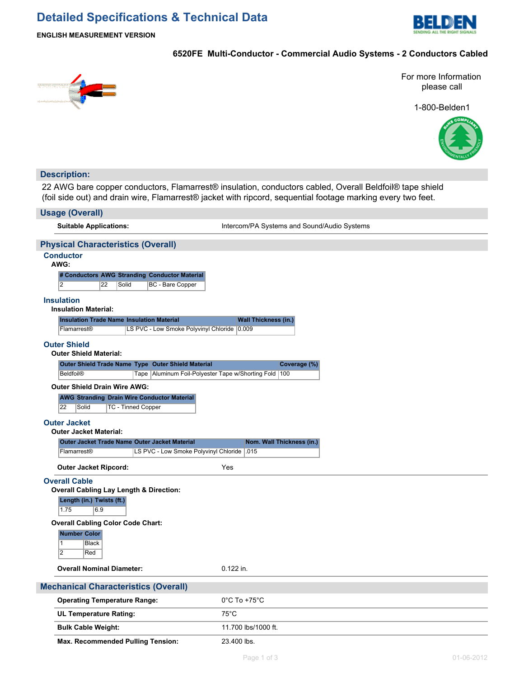# **Detailed Specifications & Technical Data**



**ENGLISH MEASUREMENT VERSION**

### **6520FE Multi-Conductor - Commercial Audio Systems - 2 Conductors Cabled**



For more Information please call

1-800-Belden1



### **Description:**

22 AWG bare copper conductors, Flamarrest® insulation, conductors cabled, Overall Beldfoil® tape shield (foil side out) and drain wire, Flamarrest® jacket with ripcord, sequential footage marking every two feet.

| <b>Usage (Overall)</b>                                                                                          |                                             |
|-----------------------------------------------------------------------------------------------------------------|---------------------------------------------|
| <b>Suitable Applications:</b>                                                                                   | Intercom/PA Systems and Sound/Audio Systems |
| <b>Physical Characteristics (Overall)</b>                                                                       |                                             |
| <b>Conductor</b><br>AWG:                                                                                        |                                             |
| # Conductors AWG Stranding Conductor Material<br>$\overline{2}$<br>$\overline{22}$<br>Solid<br>BC - Bare Copper |                                             |
| <b>Insulation</b><br><b>Insulation Material:</b>                                                                |                                             |
| <b>Insulation Trade Name Insulation Material</b>                                                                | <b>Wall Thickness (in.)</b>                 |
| LS PVC - Low Smoke Polyvinyl Chloride 0.009<br>Flamarrest <sup>®</sup>                                          |                                             |
| <b>Outer Shield</b><br><b>Outer Shield Material:</b>                                                            |                                             |
| Outer Shield Trade Name Type Outer Shield Material                                                              | Coverage (%)                                |
| <b>Beldfoil®</b><br>Tape   Aluminum Foil-Polyester Tape w/Shorting Fold   100                                   |                                             |
| <b>Outer Shield Drain Wire AWG:</b>                                                                             |                                             |
| <b>AWG Stranding Drain Wire Conductor Material</b>                                                              |                                             |
| 22<br>Solid<br>TC - Tinned Copper                                                                               |                                             |
| <b>Outer Jacket</b>                                                                                             |                                             |
| <b>Outer Jacket Material:</b>                                                                                   |                                             |
| Outer Jacket Trade Name Outer Jacket Material                                                                   | Nom. Wall Thickness (in.)                   |
| Flamarrest®<br>LS PVC - Low Smoke Polyvinyl Chloride   015                                                      |                                             |
| <b>Outer Jacket Ripcord:</b>                                                                                    | Yes                                         |
| <b>Overall Cable</b>                                                                                            |                                             |
| <b>Overall Cabling Lay Length &amp; Direction:</b>                                                              |                                             |
| Length (in.) Twists (ft.)<br>1.75<br>6.9                                                                        |                                             |
| <b>Overall Cabling Color Code Chart:</b>                                                                        |                                             |
| <b>Number Color</b><br>$\vert$ 1<br><b>Black</b><br>$\overline{2}$<br>Red                                       |                                             |
|                                                                                                                 |                                             |
| <b>Overall Nominal Diameter:</b>                                                                                | 0.122 in.                                   |
| <b>Mechanical Characteristics (Overall)</b>                                                                     |                                             |
| <b>Operating Temperature Range:</b>                                                                             | $0^{\circ}$ C To +75 $^{\circ}$ C           |
| <b>UL Temperature Rating:</b>                                                                                   | $75^{\circ}$ C                              |
| <b>Bulk Cable Weight:</b>                                                                                       | 11.700 lbs/1000 ft.                         |
| <b>Max. Recommended Pulling Tension:</b>                                                                        | 23.400 lbs.                                 |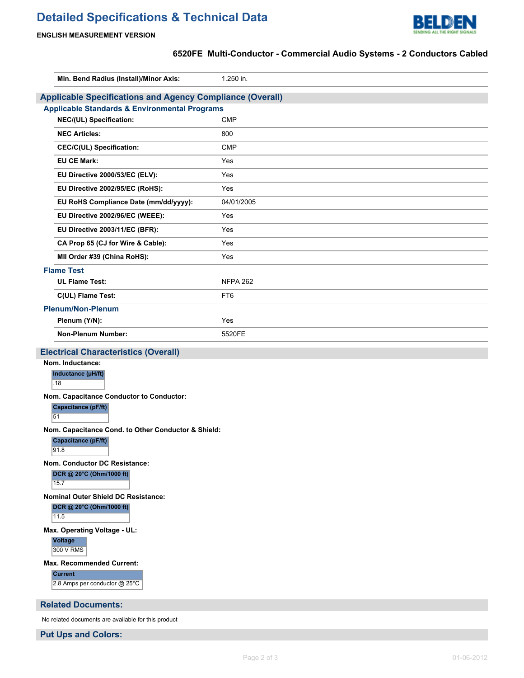# **Detailed Specifications & Technical Data**



#### **ENGLISH MEASUREMENT VERSION**

## **6520FE Multi-Conductor - Commercial Audio Systems - 2 Conductors Cabled**

| 1.250 in.<br>Min. Bend Radius (Install)/Minor Axis:<br><b>Applicable Specifications and Agency Compliance (Overall)</b><br><b>Applicable Standards &amp; Environmental Programs</b><br><b>CMP</b><br>NEC/(UL) Specification:<br><b>NEC Articles:</b><br>800<br><b>CMP</b><br>CEC/C(UL) Specification:<br><b>EU CE Mark:</b><br>Yes<br>EU Directive 2000/53/EC (ELV):<br>Yes<br>EU Directive 2002/95/EC (RoHS):<br>Yes<br>04/01/2005<br>EU RoHS Compliance Date (mm/dd/yyyy):<br>EU Directive 2002/96/EC (WEEE):<br>Yes<br>EU Directive 2003/11/EC (BFR):<br>Yes<br>CA Prop 65 (CJ for Wire & Cable):<br>Yes<br>MII Order #39 (China RoHS):<br>Yes<br><b>Flame Test</b><br><b>UL Flame Test:</b><br><b>NFPA 262</b><br>C(UL) Flame Test:<br>FT6<br><b>Plenum/Non-Plenum</b><br>Plenum (Y/N):<br>Yes<br><b>Non-Plenum Number:</b><br>5520FE<br><b>Electrical Characteristics (Overall)</b><br>Nom. Inductance:<br>Inductance (µH/ft)<br>.18<br>Nom. Capacitance Conductor to Conductor:<br><b>Capacitance (pF/ft)</b><br>51<br>Nom. Capacitance Cond. to Other Conductor & Shield:<br>Capacitance (pF/ft)<br>91.8<br>Nom. Conductor DC Resistance:<br>DCR @ 20°C (Ohm/1000 ft)<br>$15.\overline{7}$<br><b>Nominal Outer Shield DC Resistance:</b> |                                                 |  |  |  |  |  |
|-------------------------------------------------------------------------------------------------------------------------------------------------------------------------------------------------------------------------------------------------------------------------------------------------------------------------------------------------------------------------------------------------------------------------------------------------------------------------------------------------------------------------------------------------------------------------------------------------------------------------------------------------------------------------------------------------------------------------------------------------------------------------------------------------------------------------------------------------------------------------------------------------------------------------------------------------------------------------------------------------------------------------------------------------------------------------------------------------------------------------------------------------------------------------------------------------------------------------------------------------|-------------------------------------------------|--|--|--|--|--|
|                                                                                                                                                                                                                                                                                                                                                                                                                                                                                                                                                                                                                                                                                                                                                                                                                                                                                                                                                                                                                                                                                                                                                                                                                                                 |                                                 |  |  |  |  |  |
|                                                                                                                                                                                                                                                                                                                                                                                                                                                                                                                                                                                                                                                                                                                                                                                                                                                                                                                                                                                                                                                                                                                                                                                                                                                 |                                                 |  |  |  |  |  |
|                                                                                                                                                                                                                                                                                                                                                                                                                                                                                                                                                                                                                                                                                                                                                                                                                                                                                                                                                                                                                                                                                                                                                                                                                                                 |                                                 |  |  |  |  |  |
|                                                                                                                                                                                                                                                                                                                                                                                                                                                                                                                                                                                                                                                                                                                                                                                                                                                                                                                                                                                                                                                                                                                                                                                                                                                 |                                                 |  |  |  |  |  |
|                                                                                                                                                                                                                                                                                                                                                                                                                                                                                                                                                                                                                                                                                                                                                                                                                                                                                                                                                                                                                                                                                                                                                                                                                                                 |                                                 |  |  |  |  |  |
|                                                                                                                                                                                                                                                                                                                                                                                                                                                                                                                                                                                                                                                                                                                                                                                                                                                                                                                                                                                                                                                                                                                                                                                                                                                 |                                                 |  |  |  |  |  |
|                                                                                                                                                                                                                                                                                                                                                                                                                                                                                                                                                                                                                                                                                                                                                                                                                                                                                                                                                                                                                                                                                                                                                                                                                                                 |                                                 |  |  |  |  |  |
|                                                                                                                                                                                                                                                                                                                                                                                                                                                                                                                                                                                                                                                                                                                                                                                                                                                                                                                                                                                                                                                                                                                                                                                                                                                 |                                                 |  |  |  |  |  |
|                                                                                                                                                                                                                                                                                                                                                                                                                                                                                                                                                                                                                                                                                                                                                                                                                                                                                                                                                                                                                                                                                                                                                                                                                                                 |                                                 |  |  |  |  |  |
|                                                                                                                                                                                                                                                                                                                                                                                                                                                                                                                                                                                                                                                                                                                                                                                                                                                                                                                                                                                                                                                                                                                                                                                                                                                 |                                                 |  |  |  |  |  |
|                                                                                                                                                                                                                                                                                                                                                                                                                                                                                                                                                                                                                                                                                                                                                                                                                                                                                                                                                                                                                                                                                                                                                                                                                                                 |                                                 |  |  |  |  |  |
|                                                                                                                                                                                                                                                                                                                                                                                                                                                                                                                                                                                                                                                                                                                                                                                                                                                                                                                                                                                                                                                                                                                                                                                                                                                 |                                                 |  |  |  |  |  |
|                                                                                                                                                                                                                                                                                                                                                                                                                                                                                                                                                                                                                                                                                                                                                                                                                                                                                                                                                                                                                                                                                                                                                                                                                                                 |                                                 |  |  |  |  |  |
|                                                                                                                                                                                                                                                                                                                                                                                                                                                                                                                                                                                                                                                                                                                                                                                                                                                                                                                                                                                                                                                                                                                                                                                                                                                 |                                                 |  |  |  |  |  |
|                                                                                                                                                                                                                                                                                                                                                                                                                                                                                                                                                                                                                                                                                                                                                                                                                                                                                                                                                                                                                                                                                                                                                                                                                                                 |                                                 |  |  |  |  |  |
|                                                                                                                                                                                                                                                                                                                                                                                                                                                                                                                                                                                                                                                                                                                                                                                                                                                                                                                                                                                                                                                                                                                                                                                                                                                 |                                                 |  |  |  |  |  |
|                                                                                                                                                                                                                                                                                                                                                                                                                                                                                                                                                                                                                                                                                                                                                                                                                                                                                                                                                                                                                                                                                                                                                                                                                                                 |                                                 |  |  |  |  |  |
|                                                                                                                                                                                                                                                                                                                                                                                                                                                                                                                                                                                                                                                                                                                                                                                                                                                                                                                                                                                                                                                                                                                                                                                                                                                 |                                                 |  |  |  |  |  |
|                                                                                                                                                                                                                                                                                                                                                                                                                                                                                                                                                                                                                                                                                                                                                                                                                                                                                                                                                                                                                                                                                                                                                                                                                                                 |                                                 |  |  |  |  |  |
|                                                                                                                                                                                                                                                                                                                                                                                                                                                                                                                                                                                                                                                                                                                                                                                                                                                                                                                                                                                                                                                                                                                                                                                                                                                 |                                                 |  |  |  |  |  |
|                                                                                                                                                                                                                                                                                                                                                                                                                                                                                                                                                                                                                                                                                                                                                                                                                                                                                                                                                                                                                                                                                                                                                                                                                                                 |                                                 |  |  |  |  |  |
|                                                                                                                                                                                                                                                                                                                                                                                                                                                                                                                                                                                                                                                                                                                                                                                                                                                                                                                                                                                                                                                                                                                                                                                                                                                 |                                                 |  |  |  |  |  |
|                                                                                                                                                                                                                                                                                                                                                                                                                                                                                                                                                                                                                                                                                                                                                                                                                                                                                                                                                                                                                                                                                                                                                                                                                                                 |                                                 |  |  |  |  |  |
|                                                                                                                                                                                                                                                                                                                                                                                                                                                                                                                                                                                                                                                                                                                                                                                                                                                                                                                                                                                                                                                                                                                                                                                                                                                 |                                                 |  |  |  |  |  |
|                                                                                                                                                                                                                                                                                                                                                                                                                                                                                                                                                                                                                                                                                                                                                                                                                                                                                                                                                                                                                                                                                                                                                                                                                                                 |                                                 |  |  |  |  |  |
|                                                                                                                                                                                                                                                                                                                                                                                                                                                                                                                                                                                                                                                                                                                                                                                                                                                                                                                                                                                                                                                                                                                                                                                                                                                 |                                                 |  |  |  |  |  |
|                                                                                                                                                                                                                                                                                                                                                                                                                                                                                                                                                                                                                                                                                                                                                                                                                                                                                                                                                                                                                                                                                                                                                                                                                                                 |                                                 |  |  |  |  |  |
|                                                                                                                                                                                                                                                                                                                                                                                                                                                                                                                                                                                                                                                                                                                                                                                                                                                                                                                                                                                                                                                                                                                                                                                                                                                 |                                                 |  |  |  |  |  |
|                                                                                                                                                                                                                                                                                                                                                                                                                                                                                                                                                                                                                                                                                                                                                                                                                                                                                                                                                                                                                                                                                                                                                                                                                                                 |                                                 |  |  |  |  |  |
|                                                                                                                                                                                                                                                                                                                                                                                                                                                                                                                                                                                                                                                                                                                                                                                                                                                                                                                                                                                                                                                                                                                                                                                                                                                 |                                                 |  |  |  |  |  |
|                                                                                                                                                                                                                                                                                                                                                                                                                                                                                                                                                                                                                                                                                                                                                                                                                                                                                                                                                                                                                                                                                                                                                                                                                                                 |                                                 |  |  |  |  |  |
| 11.5                                                                                                                                                                                                                                                                                                                                                                                                                                                                                                                                                                                                                                                                                                                                                                                                                                                                                                                                                                                                                                                                                                                                                                                                                                            | DCR @ 20°C (Ohm/1000 ft)                        |  |  |  |  |  |
| Max. Operating Voltage - UL:                                                                                                                                                                                                                                                                                                                                                                                                                                                                                                                                                                                                                                                                                                                                                                                                                                                                                                                                                                                                                                                                                                                                                                                                                    |                                                 |  |  |  |  |  |
| <b>Voltage</b><br>300 V RMS                                                                                                                                                                                                                                                                                                                                                                                                                                                                                                                                                                                                                                                                                                                                                                                                                                                                                                                                                                                                                                                                                                                                                                                                                     |                                                 |  |  |  |  |  |
|                                                                                                                                                                                                                                                                                                                                                                                                                                                                                                                                                                                                                                                                                                                                                                                                                                                                                                                                                                                                                                                                                                                                                                                                                                                 | <b>Max. Recommended Current:</b>                |  |  |  |  |  |
|                                                                                                                                                                                                                                                                                                                                                                                                                                                                                                                                                                                                                                                                                                                                                                                                                                                                                                                                                                                                                                                                                                                                                                                                                                                 | <b>Current</b><br>2.8 Amps per conductor @ 25°C |  |  |  |  |  |
|                                                                                                                                                                                                                                                                                                                                                                                                                                                                                                                                                                                                                                                                                                                                                                                                                                                                                                                                                                                                                                                                                                                                                                                                                                                 | <b>Related Documents:</b>                       |  |  |  |  |  |

No related documents are available for this product

**Put Ups and Colors:**